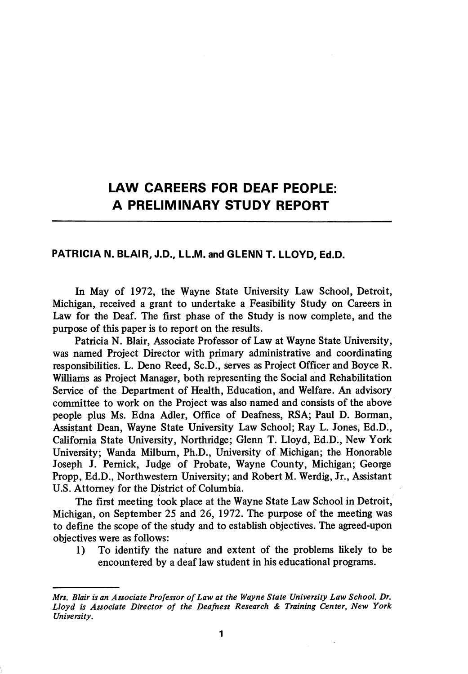## LAW CAREERS FOR DEAF PEOPLE: A PRELIMINARY STUDY REPORT

## PATRICIA N. BLAIR, J.D., LL.M. and GLENN T. LLOYD, Ed.D.

In May of 1972, the Wayne State University Law School, Detroit, Michigan, received a grant to undertake a Feasibility Study on Careers in Law for the Deaf. The first phase of the Study is now complete, and the purpose of this paper is to report on the results.

Patricia N. Blair, Associate Professor of Law at Wayne State University, was named Project Director with primary administrative and coordinating responsibilities. L. Deno Reed, Sc.D., serves as Project Officer and Boyce R. Williams as Project Manager, both representing the Social and Rehabilitation Service of the Department of Health, Education, and Welfare. An advisory committee to work on the Project was also named and consists of the above people plus Ms. Edna Adler, Office of Deafness, RSA; Paul D. Borman, Assistant Dean, Wayne State University Law School; Ray L. Jones, Ed.D., California State University, Northridge; Glenn T. Lloyd, Ed.D., New York University; Wanda Milbum, Ph.D., University of Michigan; the Honorable Joseph J. Pemick, Judge of Probate, Wayne County, Michigan; George Propp, Ed.D., Northwestern University; and Robert M. Werdig, Jr., Assistant U.S. Attorney for the District of Columbia.

The first meeting took place at the Wayne State Law School in Detroit, Michigan, on September 25 and 26, 1972. The purpose of the meeting was to define the scope of the study and to establish objectives. The agreed-upon objectives were as follows:

1) To identify the nature and extent of the problems likely to be encountered by a deaf law student in his educational programs.

Mrs. Blair is an Associate Professor of Law at the Wayne State University Law School. Dr. Lloyd is Associate Director of the Deafness Research & Training Center, New York University.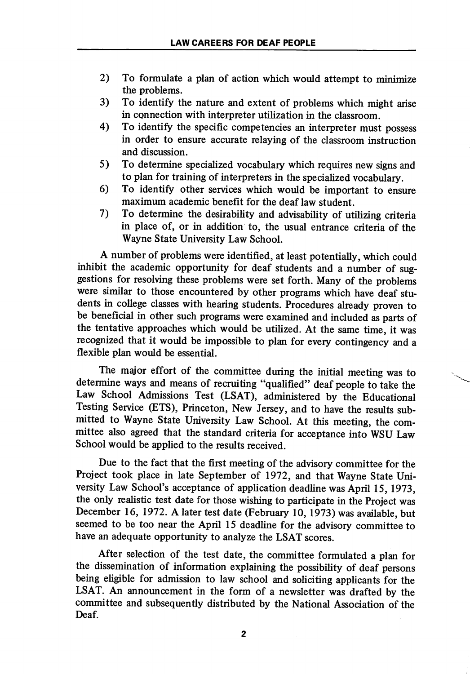- 2) To fonnulate a plan of action which would attempt to minimize the problems.
- 3) To identify the nature and extent of problems which might arise in connection with interpreter utilization in the classroom.
- 4) To identify the specific competencies an interpreter must possess in order to ensure accurate relaying of the classroom instruction and discussion.
- 5) To determine specialized vocabulary which requires new signs and to plan for training of interpreters in the specialized vocabulary.
- 6) To identify other services which would be important to ensure maximum academic benefit for the deaf law student.
- 7) To determine the desirability and adwsability of utilizing criteria in place of, or in addition to, the usual entrance criteria of the Wayne State University Law School.

A number of problems were identified, at least potentially, which could inhibit the academic opportunity for deaf students and a number of sug gestions for resolving these problems were set forth. Many of the problems were similar to those encountered by other programs which have deaf stu dents in college classes with hearing students. Procedures already proven to be beneficial in other such programs were examined and included as parts of the tentative approaches which would be utilized. At the same time, it was recognized that it would be impossible to plan for every contingency and a flexible plan would be essential.

The major effort of the committee during the initial meeting was to determine ways and means of recruiting "qualified" deaf people to take the Law School Admissions Test (LSAT), administered by the Educational Testing Service (ETS), Princeton, New Jersey, and to have the results sub mitted to Wayne State University Law School. At this meeting, the com mittee also agreed that the standard criteria for acceptance into WSU Law School would be applied to the results received.

Due to the fact that the first meeting of the advisory committee for the Project took place in late September of 1972, and that Wayne State Uni versity Law School's acceptance of application deadline was April 15,1973, the only realistic test date for those wishing to participate in the Project was December 16, 1972. A later test date (February 10, 1973) was available, but seemed to be too near the April 15 deadline for the advisory committee to have an adequate opportunity to analyze the LSAT scores.

After selection of the test date, the committee formulated a plan for the dissemination of information explaining the possibility of deaf persons being eligible for admission to law school and soliciting applicants for the LSAT. An announcement in the form of a newsletter was drafted by the committee and subsequently distributed by the National Association of the Deaf.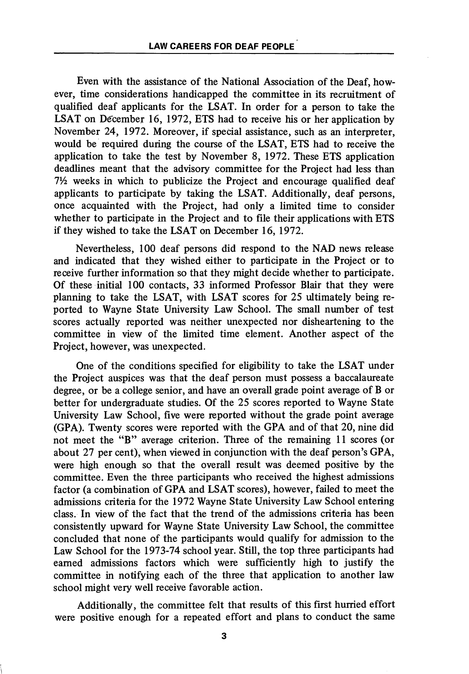Even with the assistance of the National Association of the Deaf, how ever, time considerations handicapped the committee in its recruitment of qualified deaf applicants for the LSAT. In order for a person to take the LSAT on December 16, 1972, ETS had to receive his or her application by November 24, 1972. Moreover, if special assistance, such as an interpreter, would be required during the course of the LSAT, ETS had to receive the application to take the test by November 8, 1972. These ETS application deadlines meant that the advisory committee for the Project had less than  $7\frac{1}{2}$  weeks in which to publicize the Project and encourage qualified deaf applicants to participate by taking the LSAT. Additionally, deaf persons, once acquainted with the Project, had only a limited time to consider whether to participate in the Project and to file their applications with ETS if they wished to take the LSAT on December 16, 1972.

Nevertheless, 100 deaf persons did respond to the NAD news release and indicated that they wished either to participate in the Project or to receive further information so that they might decide whether to participate. Of these initial 100 contacts, 33 informed Professor Blair that they were planning to take the LSAT, with LSAT scores for 25 ultimately being re ported to Wayne State University Law School. The small number of test scores actually reported was neither unexpected nor disheartening to the committee in view of the limited time element. Another aspect of the Project, however, was unexpected.

One of the conditions specified for eligibility to take the LSAT under the Project auspices was that the deaf person must possess a baccalaureate degree, or be a college senior, and have an overall grade point average of B or better for undergraduate studies. Of the 25 scores reported to Wayne State University Law School, five were reported without the grade point average (GPA). Twenty scores were reported with the GPA and of that 20, nine did not meet the "B" average criterion. Three of the remaining 11 scores (or about 27 per cent), when viewed in conjunction with the deaf person's GPA, were high enough so that the overall result was deemed positive by the committee. Even the three participants who received the highest admissions factor (a combination of GPA and LSAT scores), however, failed to meet the admissions criteria for the 1972 Wayne State University Law School entering class. In view of the fact that the trend of the admissions criteria has been consistently upward for Wayne State University Law School, the committee concluded that none of the participants would qualify for admission to the Law School for the 1973-74 school year. Still, the top three participants had earned admissions factors which were sufficiently high to justify the committee in notifying each of the three that application to another law school might very well receive favorable action.

Additionally, the committee felt that results of this first hurried effort were positive enough for a repeated effort and plans to conduct the same